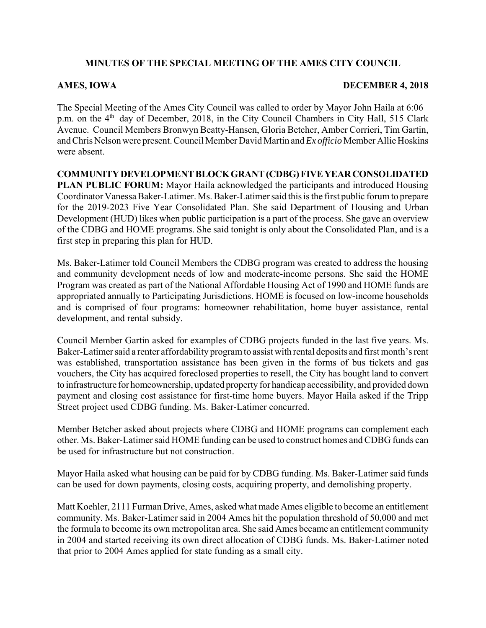# **MINUTES OF THE SPECIAL MEETING OF THE AMES CITY COUNCIL**

## **AMES, IOWA DECEMBER 4, 2018**

The Special Meeting of the Ames City Council was called to order by Mayor John Haila at 6:06 p.m. on the 4<sup>th</sup> day of December, 2018, in the City Council Chambers in City Hall, 515 Clark Avenue. Council Members Bronwyn Beatty-Hansen, Gloria Betcher, Amber Corrieri, Tim Gartin, and Chris Nelson were present. Council Member David Martin and *Ex officio* Member Allie Hoskins were absent.

**COMMUNITY DEVELOPMENT BLOCK GRANT (CDBG) FIVE YEAR CONSOLIDATED PLAN PUBLIC FORUM:** Mayor Haila acknowledged the participants and introduced Housing Coordinator Vanessa Baker-Latimer. Ms. Baker-Latimer said this is the first public forum to prepare for the 2019-2023 Five Year Consolidated Plan. She said Department of Housing and Urban Development (HUD) likes when public participation is a part of the process. She gave an overview of the CDBG and HOME programs. She said tonight is only about the Consolidated Plan, and is a first step in preparing this plan for HUD.

Ms. Baker-Latimer told Council Members the CDBG program was created to address the housing and community development needs of low and moderate-income persons. She said the HOME Program was created as part of the National Affordable Housing Act of 1990 and HOME funds are appropriated annually to Participating Jurisdictions. HOME is focused on low-income households and is comprised of four programs: homeowner rehabilitation, home buyer assistance, rental development, and rental subsidy.

Council Member Gartin asked for examples of CDBG projects funded in the last five years. Ms. Baker-Latimer said a renter affordability program to assist with rental deposits and first month's rent was established, transportation assistance has been given in the forms of bus tickets and gas vouchers, the City has acquired foreclosed properties to resell, the City has bought land to convert to infrastructure for homeownership, updated property for handicap accessibility, and provided down payment and closing cost assistance for first-time home buyers. Mayor Haila asked if the Tripp Street project used CDBG funding. Ms. Baker-Latimer concurred.

Member Betcher asked about projects where CDBG and HOME programs can complement each other. Ms. Baker-Latimer said HOME funding can be used to construct homes and CDBG funds can be used for infrastructure but not construction.

Mayor Haila asked what housing can be paid for by CDBG funding. Ms. Baker-Latimer said funds can be used for down payments, closing costs, acquiring property, and demolishing property.

Matt Koehler, 2111 Furman Drive, Ames, asked what made Ames eligible to become an entitlement community. Ms. Baker-Latimer said in 2004 Ames hit the population threshold of 50,000 and met the formula to become its own metropolitan area. She said Ames became an entitlement community in 2004 and started receiving its own direct allocation of CDBG funds. Ms. Baker-Latimer noted that prior to 2004 Ames applied for state funding as a small city.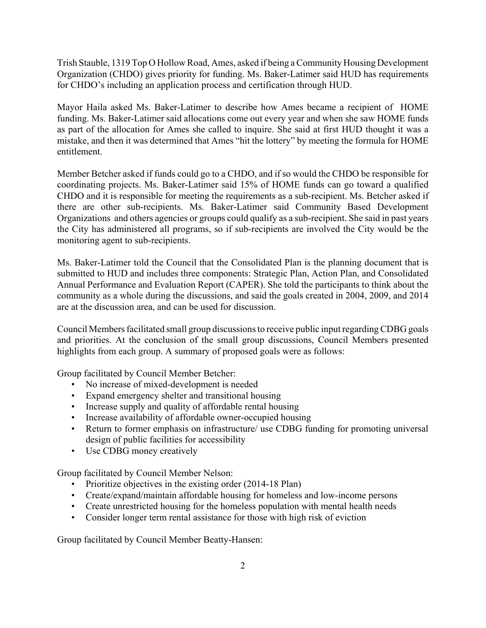Trish Stauble, 1319 Top O Hollow Road, Ames, asked if being a Community Housing Development Organization (CHDO) gives priority for funding. Ms. Baker-Latimer said HUD has requirements for CHDO's including an application process and certification through HUD.

Mayor Haila asked Ms. Baker-Latimer to describe how Ames became a recipient of HOME funding. Ms. Baker-Latimer said allocations come out every year and when she saw HOME funds as part of the allocation for Ames she called to inquire. She said at first HUD thought it was a mistake, and then it was determined that Ames "hit the lottery" by meeting the formula for HOME entitlement.

Member Betcher asked if funds could go to a CHDO, and if so would the CHDO be responsible for coordinating projects. Ms. Baker-Latimer said 15% of HOME funds can go toward a qualified CHDO and it is responsible for meeting the requirements as a sub-recipient. Ms. Betcher asked if there are other sub-recipients. Ms. Baker-Latimer said Community Based Development Organizations and others agencies or groups could qualify as a sub-recipient. She said in past years the City has administered all programs, so if sub-recipients are involved the City would be the monitoring agent to sub-recipients.

Ms. Baker-Latimer told the Council that the Consolidated Plan is the planning document that is submitted to HUD and includes three components: Strategic Plan, Action Plan, and Consolidated Annual Performance and Evaluation Report (CAPER). She told the participants to think about the community as a whole during the discussions, and said the goals created in 2004, 2009, and 2014 are at the discussion area, and can be used for discussion.

Council Members facilitated small group discussions to receive public input regarding CDBG goals and priorities. At the conclusion of the small group discussions, Council Members presented highlights from each group. A summary of proposed goals were as follows:

Group facilitated by Council Member Betcher:

- No increase of mixed-development is needed
- Expand emergency shelter and transitional housing
- Increase supply and quality of affordable rental housing
- Increase availability of affordable owner-occupied housing
- Return to former emphasis on infrastructure/ use CDBG funding for promoting universal design of public facilities for accessibility
- Use CDBG money creatively

Group facilitated by Council Member Nelson:

- Prioritize objectives in the existing order (2014-18 Plan)
- Create/expand/maintain affordable housing for homeless and low-income persons
- Create unrestricted housing for the homeless population with mental health needs
- Consider longer term rental assistance for those with high risk of eviction

Group facilitated by Council Member Beatty-Hansen: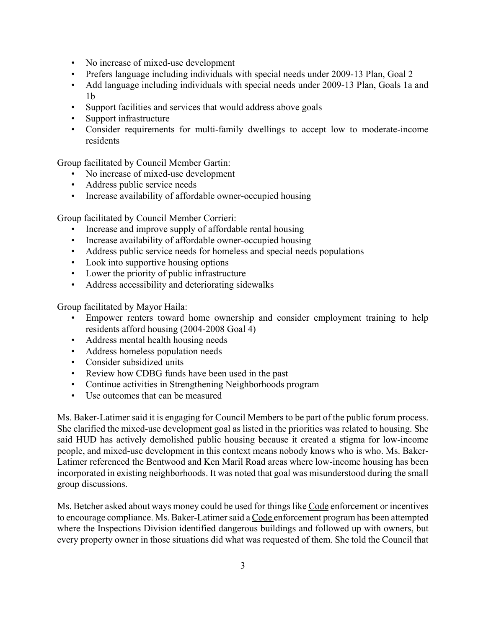- No increase of mixed-use development
- Prefers language including individuals with special needs under 2009-13 Plan, Goal 2
- Add language including individuals with special needs under 2009-13 Plan, Goals 1a and 1b
- Support facilities and services that would address above goals
- Support infrastructure
- Consider requirements for multi-family dwellings to accept low to moderate-income residents

Group facilitated by Council Member Gartin:

- No increase of mixed-use development
- Address public service needs
- Increase availability of affordable owner-occupied housing

Group facilitated by Council Member Corrieri:

- Increase and improve supply of affordable rental housing
- Increase availability of affordable owner-occupied housing
- Address public service needs for homeless and special needs populations
- Look into supportive housing options
- Lower the priority of public infrastructure
- Address accessibility and deteriorating sidewalks

Group facilitated by Mayor Haila:

- Empower renters toward home ownership and consider employment training to help residents afford housing (2004-2008 Goal 4)
- Address mental health housing needs
- Address homeless population needs
- Consider subsidized units
- Review how CDBG funds have been used in the past
- Continue activities in Strengthening Neighborhoods program
- Use outcomes that can be measured

Ms. Baker-Latimer said it is engaging for Council Members to be part of the public forum process. She clarified the mixed-use development goal as listed in the priorities was related to housing. She said HUD has actively demolished public housing because it created a stigma for low-income people, and mixed-use development in this context means nobody knows who is who. Ms. Baker-Latimer referenced the Bentwood and Ken Maril Road areas where low-income housing has been incorporated in existing neighborhoods. It was noted that goal was misunderstood during the small group discussions.

Ms. Betcher asked about ways money could be used for things like Code enforcement or incentives to encourage compliance. Ms. Baker-Latimer said a Code enforcement program has been attempted where the Inspections Division identified dangerous buildings and followed up with owners, but every property owner in those situations did what was requested of them. She told the Council that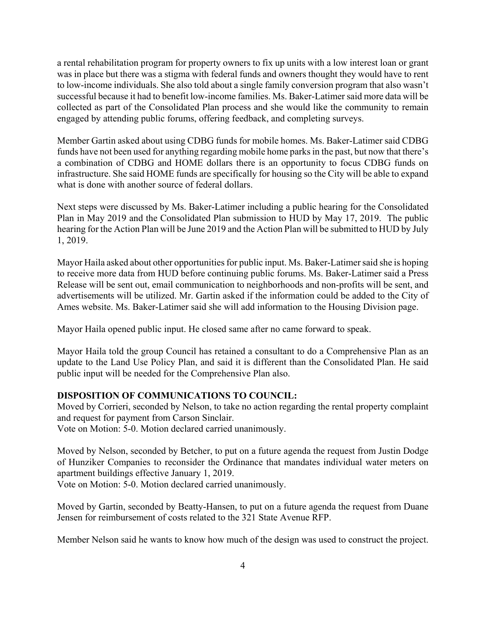a rental rehabilitation program for property owners to fix up units with a low interest loan or grant was in place but there was a stigma with federal funds and owners thought they would have to rent to low-income individuals. She also told about a single family conversion program that also wasn't successful because it had to benefit low-income families. Ms. Baker-Latimer said more data will be collected as part of the Consolidated Plan process and she would like the community to remain engaged by attending public forums, offering feedback, and completing surveys.

Member Gartin asked about using CDBG funds for mobile homes. Ms. Baker-Latimer said CDBG funds have not been used for anything regarding mobile home parks in the past, but now that there's a combination of CDBG and HOME dollars there is an opportunity to focus CDBG funds on infrastructure. She said HOME funds are specifically for housing so the City will be able to expand what is done with another source of federal dollars.

Next steps were discussed by Ms. Baker-Latimer including a public hearing for the Consolidated Plan in May 2019 and the Consolidated Plan submission to HUD by May 17, 2019. The public hearing for the Action Plan will be June 2019 and the Action Plan will be submitted to HUD by July 1, 2019.

Mayor Haila asked about other opportunities for public input. Ms. Baker-Latimer said she is hoping to receive more data from HUD before continuing public forums. Ms. Baker-Latimer said a Press Release will be sent out, email communication to neighborhoods and non-profits will be sent, and advertisements will be utilized. Mr. Gartin asked if the information could be added to the City of Ames website. Ms. Baker-Latimer said she will add information to the Housing Division page.

Mayor Haila opened public input. He closed same after no came forward to speak.

Mayor Haila told the group Council has retained a consultant to do a Comprehensive Plan as an update to the Land Use Policy Plan, and said it is different than the Consolidated Plan. He said public input will be needed for the Comprehensive Plan also.

#### **DISPOSITION OF COMMUNICATIONS TO COUNCIL:**

Moved by Corrieri, seconded by Nelson, to take no action regarding the rental property complaint and request for payment from Carson Sinclair.

Vote on Motion: 5-0. Motion declared carried unanimously.

Moved by Nelson, seconded by Betcher, to put on a future agenda the request from Justin Dodge of Hunziker Companies to reconsider the Ordinance that mandates individual water meters on apartment buildings effective January 1, 2019.

Vote on Motion: 5-0. Motion declared carried unanimously.

Moved by Gartin, seconded by Beatty-Hansen, to put on a future agenda the request from Duane Jensen for reimbursement of costs related to the 321 State Avenue RFP.

Member Nelson said he wants to know how much of the design was used to construct the project.